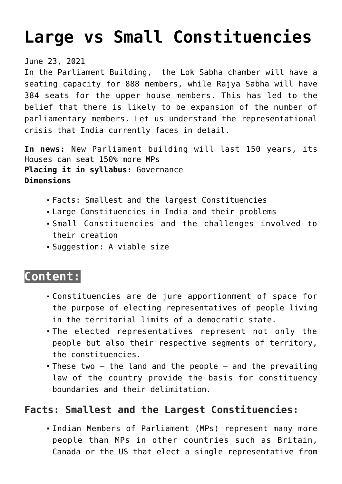# **[Large vs Small Constituencies](https://journalsofindia.com/large-vs-small-constituencies/)**

#### June 23, 2021

In the Parliament Building, the Lok Sabha chamber will have a seating capacity for 888 members, while Rajya Sabha will have 384 seats for the upper house members. This has led to the belief that there is likely to be expansion of the number of parliamentary members. Let us understand the representational crisis that India currently faces in detail.

**In news:** New Parliament building will last 150 years, its Houses can seat 150% more MPs **Placing it in syllabus:** Governance **Dimensions**

- Facts: Smallest and the largest Constituencies
- Large Constituencies in India and their problems
- Small Constituencies and the challenges involved to their creation
- Suggestion: A viable size

## **Content:**

- Constituencies are de jure apportionment of space for the purpose of electing representatives of people living in the territorial limits of a democratic state.
- The elected representatives represent not only the people but also their respective segments of territory, the constituencies.
- These two  $-$  the land and the people  $-$  and the prevailing law of the country provide the basis for constituency boundaries and their delimitation.

## **Facts: Smallest and the Largest Constituencies:**

Indian Members of Parliament (MPs) represent many more people than MPs in other countries such as Britain, Canada or the US that elect a single representative from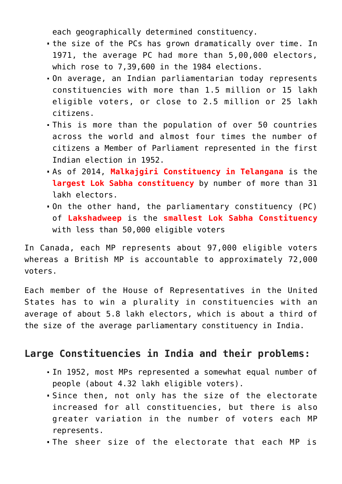each geographically determined constituency.

- the size of the PCs has grown dramatically over time. In 1971, the average PC had more than 5,00,000 electors, which rose to 7,39,600 in the 1984 elections.
- On average, an Indian parliamentarian today represents constituencies with more than 1.5 million or 15 lakh eligible voters, or close to 2.5 million or 25 lakh citizens.
- This is more than the population of over 50 countries across the world and almost four times the number of citizens a Member of Parliament represented in the first Indian election in 1952.
- As of 2014, **Malkajgiri Constituency in Telangana** is the **largest Lok Sabha constituency** by number of more than 31 lakh electors.
- On the other hand, the parliamentary constituency (PC) of **Lakshadweep** is the **smallest Lok Sabha Constituency** with less than 50,000 eligible voters

In Canada, each MP represents about 97,000 eligible voters whereas a British MP is accountable to approximately 72,000 voters.

Each member of the House of Representatives in the United States has to win a plurality in constituencies with an average of about 5.8 lakh electors, which is about a third of the size of the average parliamentary constituency in India.

## **Large Constituencies in India and their problems:**

- In 1952, most MPs represented a somewhat equal number of people (about 4.32 lakh eligible voters).
- Since then, not only has the size of the electorate increased for all constituencies, but there is also greater variation in the number of voters each MP represents.
- The sheer size of the electorate that each MP is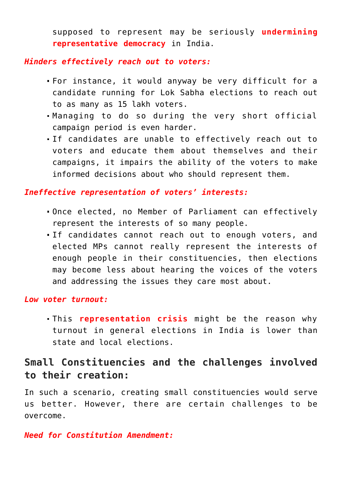supposed to represent may be seriously **undermining representative democracy** in India.

## *Hinders effectively reach out to voters:*

- For instance, it would anyway be very difficult for a candidate running for Lok Sabha elections to reach out to as many as 15 lakh voters.
- Managing to do so during the very short official campaign period is even harder.
- If candidates are unable to effectively reach out to voters and educate them about themselves and their campaigns, it impairs the ability of the voters to make informed decisions about who should represent them.

### *Ineffective representation of voters' interests:*

- Once elected, no Member of Parliament can effectively represent the interests of so many people.
- If candidates cannot reach out to enough voters, and elected MPs cannot really represent the interests of enough people in their constituencies, then elections may become less about hearing the voices of the voters and addressing the issues they care most about.

*Low voter turnout:*

This **representation crisis** might be the reason why turnout in general elections in India is lower than state and local elections.

## **Small Constituencies and the challenges involved to their creation:**

In such a scenario, creating small constituencies would serve us better. However, there are certain challenges to be overcome.

### *Need for Constitution Amendment:*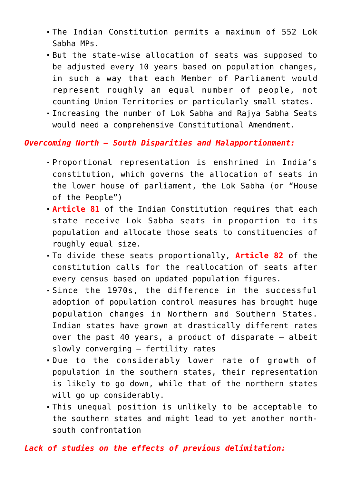- The Indian Constitution permits a maximum of 552 Lok Sabha MPs.
- But the state-wise allocation of seats was supposed to be adjusted every 10 years based on population changes, in such a way that each Member of Parliament would represent roughly an equal number of people, not counting Union Territories or particularly small states.
- Increasing the number of Lok Sabha and Rajya Sabha Seats would need a comprehensive Constitutional Amendment.

#### *Overcoming North – South Disparities and Malapportionment:*

- Proportional representation is enshrined in India's constitution, which governs the allocation of seats in the lower house of parliament, the Lok Sabha (or "House of the People")
- **Article 81** of the Indian Constitution requires that each state receive Lok Sabha seats in proportion to its population and allocate those seats to constituencies of roughly equal size.
- To divide these seats proportionally, **Article 82** of the constitution calls for the reallocation of seats after every census based on updated population figures.
- Since the 1970s, the difference in the successful adoption of population control measures has brought huge population changes in Northern and Southern States. Indian states have grown at drastically different rates over the past 40 years, a product of disparate – albeit slowly converging – fertility rates
- Due to the considerably lower rate of growth of population in the southern states, their representation is likely to go down, while that of the northern states will go up considerably.
- This unequal position is unlikely to be acceptable to the southern states and might lead to yet another northsouth confrontation

#### *Lack of studies on the effects of previous delimitation:*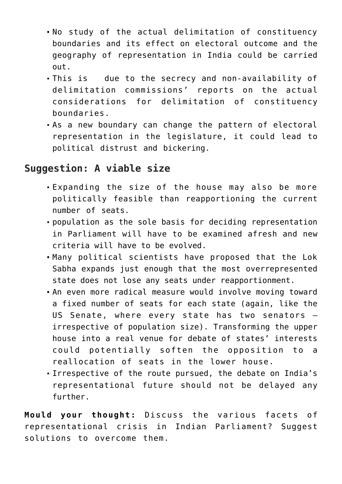- No study of the actual delimitation of constituency boundaries and its effect on electoral outcome and the geography of representation in India could be carried out.
- This is due to the secrecy and non-availability of delimitation commissions' reports on the actual considerations for delimitation of constituency boundaries.
- As a new boundary can change the pattern of electoral representation in the legislature, it could lead to political distrust and bickering.

## **Suggestion: A viable size**

- Expanding the size of the house may also be more politically feasible than reapportioning the current number of seats.
- population as the sole basis for deciding representation in Parliament will have to be examined afresh and new criteria will have to be evolved.
- Many political scientists have proposed that the Lok Sabha expands just enough that the most overrepresented state does not lose any seats under reapportionment.
- An even more radical measure would involve moving toward a fixed number of seats for each state (again, like the US Senate, where every state has two senators – irrespective of population size). Transforming the upper house into a real venue for debate of states' interests could potentially soften the opposition to a reallocation of seats in the lower house.
- Irrespective of the route pursued, the debate on India's representational future should not be delayed any further.

**Mould your thought:** Discuss the various facets of representational crisis in Indian Parliament? Suggest solutions to overcome them.